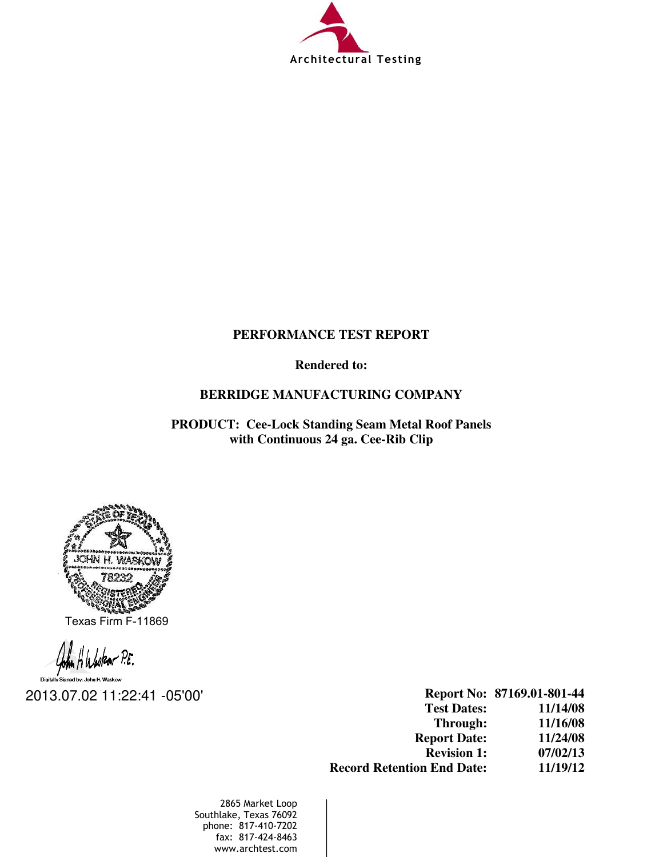

# **PERFORMANCE TEST REPORT**

**Rendered to:** 

## **BERRIDGE MANUFACTURING COMPANY**

**PRODUCT: Cee-Lock Standing Seam Metal Roof Panels with Continuous 24 ga. Cee-Rib Clip** 



Texas Firm F-11869

2013.07.02 11:22:41 -05'00'

**Report No: 87169.01-801-44 Test Dates: 11/14/08 Through: 11/16/08 Report Date: 11/24/08 Revision 1: 07/02/13 Record Retention End Date: 11/19/12**

2865 Market Loop Southlake, Texas 76092 phone: 817-410-7202 fax: 817-424-8463 www.archtest.com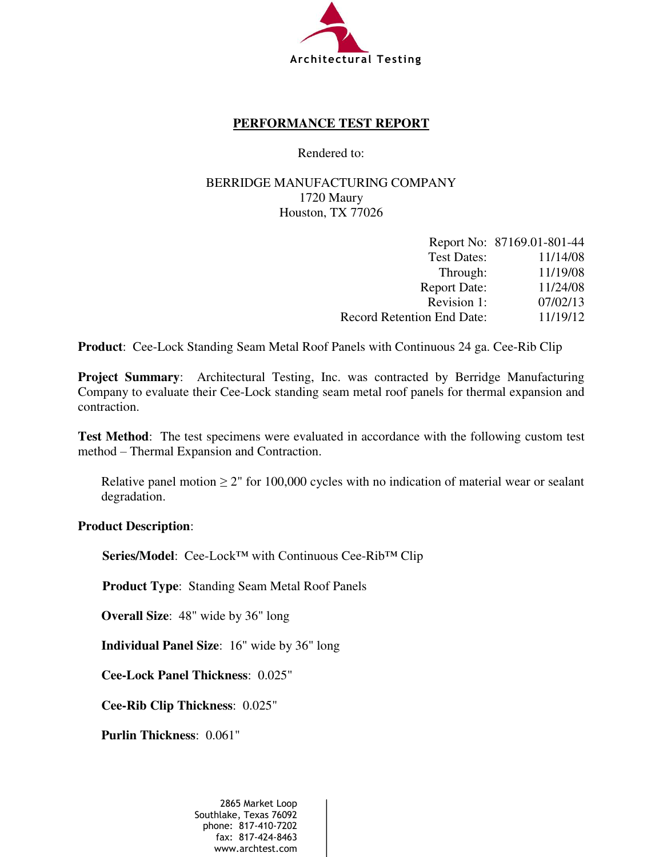

## **PERFORMANCE TEST REPORT**

Rendered to:

# BERRIDGE MANUFACTURING COMPANY 1720 Maury Houston, TX 77026

|                            | Report No: 87169.01-801-44 |
|----------------------------|----------------------------|
| <b>Test Dates:</b>         | 11/14/08                   |
| Through:                   | 11/19/08                   |
| <b>Report Date:</b>        | 11/24/08                   |
| Revision 1:                | 07/02/13                   |
| Record Retention End Date: | 11/19/12                   |

**Product**: Cee-Lock Standing Seam Metal Roof Panels with Continuous 24 ga. Cee-Rib Clip

**Project Summary:** Architectural Testing, Inc. was contracted by Berridge Manufacturing Company to evaluate their Cee-Lock standing seam metal roof panels for thermal expansion and contraction.

**Test Method**: The test specimens were evaluated in accordance with the following custom test method – Thermal Expansion and Contraction.

Relative panel motion  $\geq 2$ " for 100,000 cycles with no indication of material wear or sealant degradation.

#### **Product Description**:

**Series/Model**: Cee-Lock™ with Continuous Cee-Rib™ Clip

**Product Type**: Standing Seam Metal Roof Panels

**Overall Size**: 48" wide by 36" long

**Individual Panel Size**: 16" wide by 36" long

**Cee-Lock Panel Thickness**: 0.025"

**Cee-Rib Clip Thickness**:0.025"

**Purlin Thickness**:0.061"

2865 Market Loop Southlake, Texas 76092 phone: 817-410-7202 fax: 817-424-8463 www.archtest.com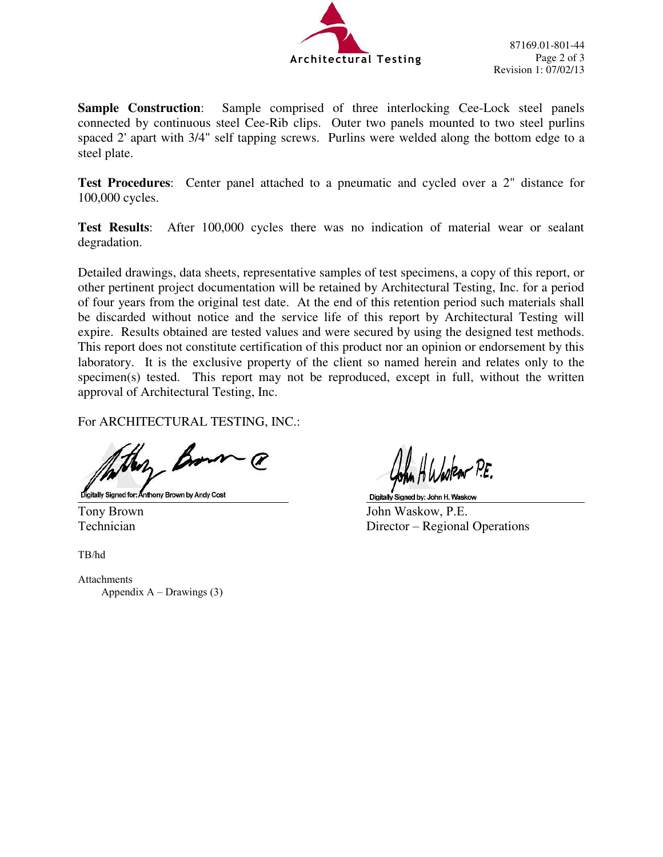

**Sample Construction**: Sample comprised of three interlocking Cee-Lock steel panels connected by continuous steel Cee-Rib clips. Outer two panels mounted to two steel purlins spaced 2' apart with 3/4" self tapping screws. Purlins were welded along the bottom edge to a steel plate.

**Test Procedures**:Center panel attached to a pneumatic and cycled over a 2" distance for 100,000 cycles.

**Test Results**: After 100,000 cycles there was no indication of material wear or sealant degradation.

Detailed drawings, data sheets, representative samples of test specimens, a copy of this report, or other pertinent project documentation will be retained by Architectural Testing, Inc. for a period of four years from the original test date. At the end of this retention period such materials shall be discarded without notice and the service life of this report by Architectural Testing will expire. Results obtained are tested values and were secured by using the designed test methods. This report does not constitute certification of this product nor an opinion or endorsement by this laboratory. It is the exclusive property of the client so named herein and relates only to the specimen(s) tested. This report may not be reproduced, except in full, without the written approval of Architectural Testing, Inc.

For ARCHITECTURAL TESTING, INC.:

Bon

Digitally Signed for: Anthony Brown by Andy Cost

TB/hd

**Attachments** Appendix  $A -$ Drawings (3)

Tony Brown John Waskow, P.E. Technician Director – Regional Operations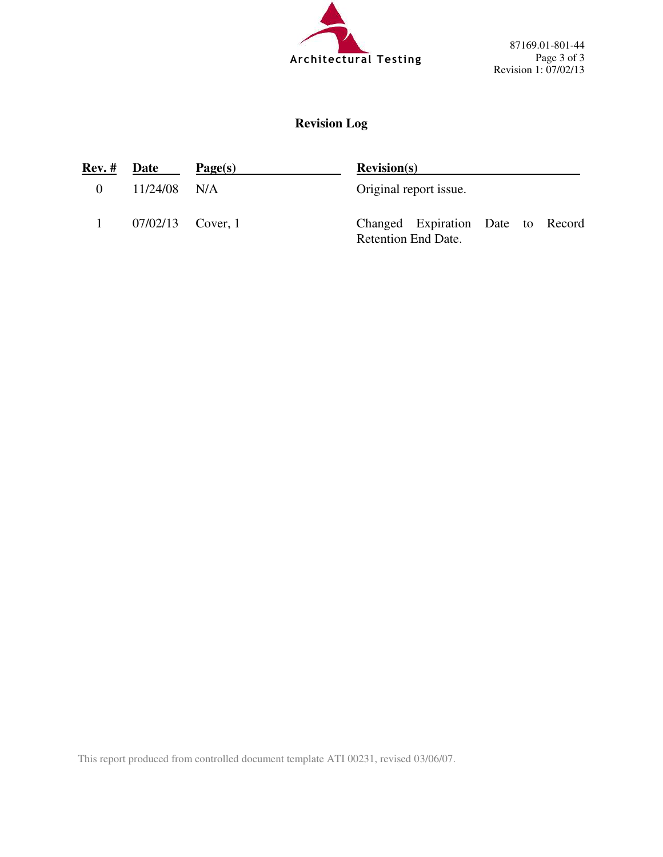

87169.01-801-44 Page 3 of 3 Revision 1: 07/02/13

# **Revision Log**

| Rev. #   | <b>Date</b>         | Page(s) | <b>Revision(s)</b>                                              |  |  |  |
|----------|---------------------|---------|-----------------------------------------------------------------|--|--|--|
| $\theta$ | $11/24/08$ N/A      |         | Original report issue.                                          |  |  |  |
|          | $07/02/13$ Cover, 1 |         | Changed Expiration Date to Record<br><b>Retention End Date.</b> |  |  |  |

This report produced from controlled document template ATI 00231, revised 03/06/07.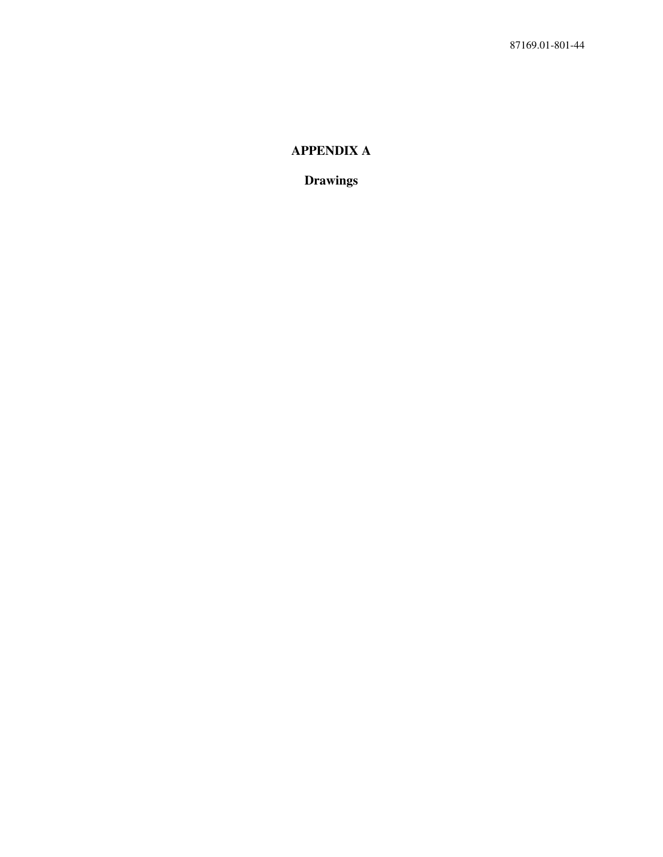# **APPENDIX A**

**Drawings**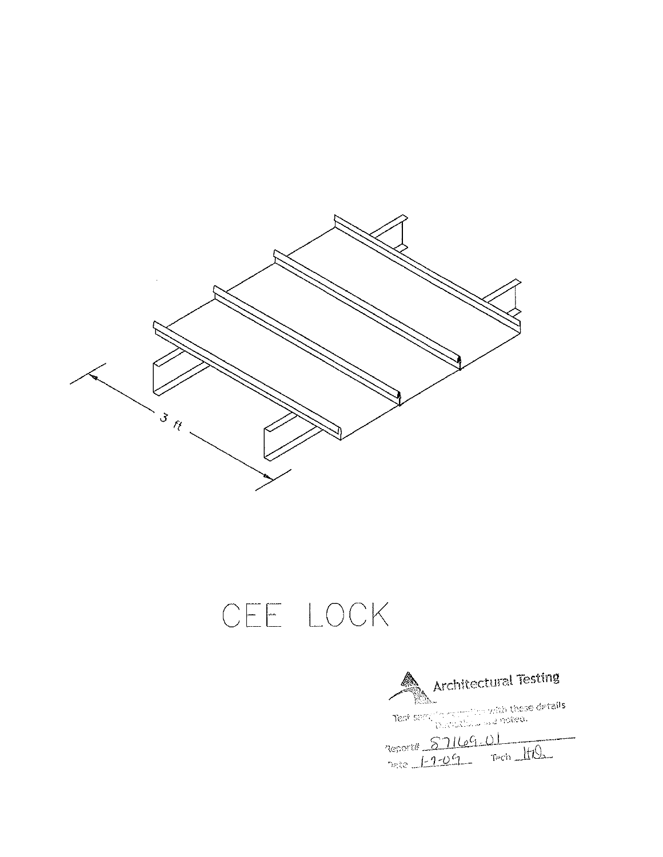

# CEE LOCK

**And And Achitectural Testing** Test sample report that these details.<br>Test sample required and noted. Reports 57169.01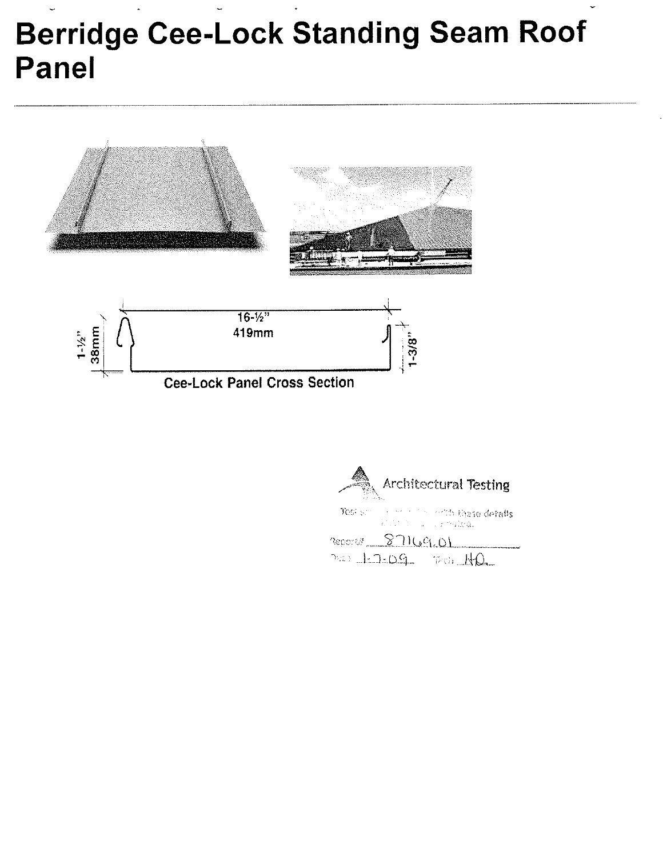# **Berridge Cee-Lock Standing Seam Roof Panel**





Test s h these detalls subos i

Reports 87169.01  $20.12209 - 00010$